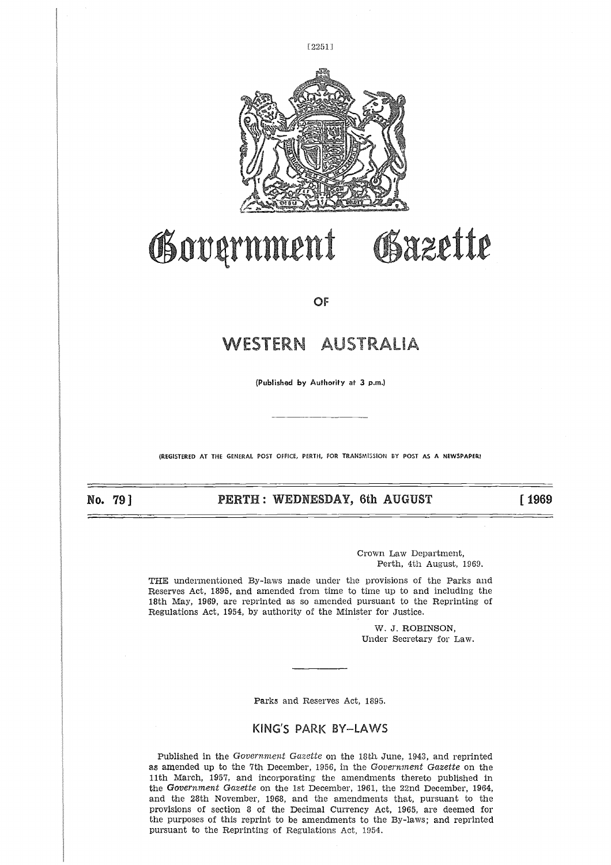

# Gazette Government

**OF** 

# WESTERN AUSTRALIA

**(Published by Authority at 3 p.m.)**

(REGISTERED AT THE GENERAL POST OFFICE, PERTH, FOR TRANSMISSION BY POST AS **A NEWSPAPER!**

No. 791

**PERTH : WEDNESDAY, 6th AUGUST [ 1969** 

Crown Law Department, Perth, 4th August, 1969.

THE undermentioned By-laws made under the provisions of the Parks and Reserves Act, 1895, and amended from time to time up to and including the 18th May, 1969, are reprinted as so amended pursuant to the Reprinting of Regulations Act, 1954, by authority of the Minister for Justice.

> W. *J.* ROBINSON, Under Secretary for Law.

Parks and Reserves Act, 1895.

# KING'S PARK BY-LAWS

Published in the *Government Gazette* on the 18th. June, 1943, and reprinted as amended up to the 7th December, 1956, in the *Government Gazette* on the 11th March, 1957, and incorporating the amendments thereto published in the *Government Gazette* on the 1st December, 1961, the 22nd December, 1964, and the 28th November, 1968, and the amendments that, pursuant to the provisions of section 8 of the Decimal Currency Act, 1965, are deemed for the purposes of this reprint to be amendments to the By-laws; and reprinted pursuant to the Reprinting of Regulations Act, 1954.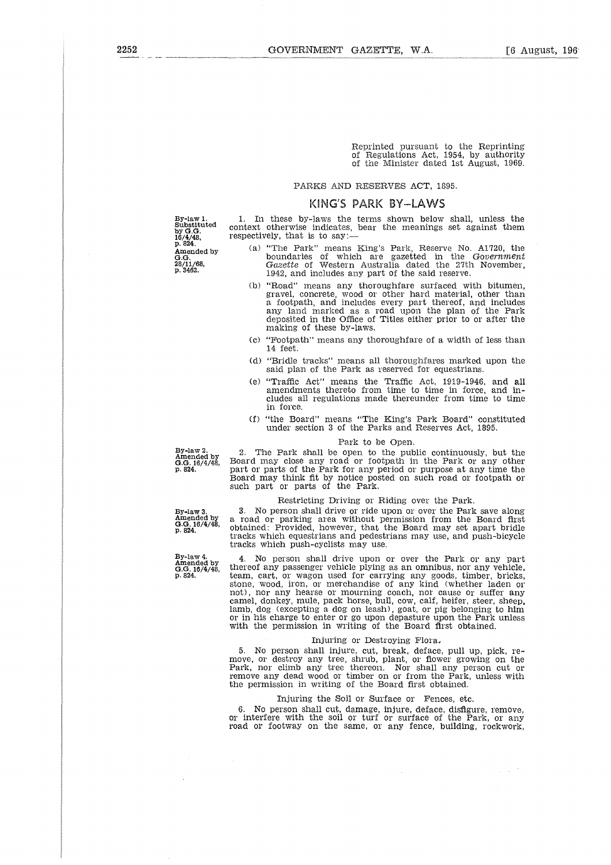Reprinted pursuant to the Reprinting of Regulations Act, 1954, by authority of the Minister dated 1st August, 1969.

# PARKS AND RESERVES ACT, 1895.

# KING'S PARK BY-LAWS 1. In these by-laws the terms shown below shall, unless the

By-law 1. Substituted by G.G. 16/4/48, p. 824. Amended by **G**.G. 28/11/68, p. 3462.

context otherwise indicates, bear the meanings set against them respectively, that is to say:

- (a) "The Park" means King's Park, Reserve No. A1720, the boundaries of which are gazetted in the *Government Gazette* of Western Australia dated the 27th November, 1942, and includes any part of the said reserve.
- (b) "Road" means any thoroughfare surfaced with bitumen, gravel, concrete, wood or other hard material, other than a footpath, and includes every part thereof, and includes any land marked as a road upon the plan of the Park deposited in the Office of Titles either prior to or after the making of these by-laws.
- (c) "Footpath" means any thoroughfare of a width of less than 14 feet.
- (d) "Bridle tracks" means all thoroughfares marked upon the said plan of the Park as reserved for equestrians.
- (e) "Traffic Act" means the Traffic Act, 1919-1946, and all amendments thereto from time to time in force, and includes all regulations made thereunder from time to time in force.
- (f) "the Board" means "The King's Park Board" constituted under section 3 of the Parks and Reserves Act, 1895.

# Park to be Open.

2. The Park shall be open to the public continuously, but the Board may close any road or footpath in the Park or any other part or parts of the Park for any period or purpose at any time the Board may think fit by notice posted on such road or footpath or such part or parts of the Park.

# Restricting Driving or Riding over the Park.

3. No person shall drive or ride upon or over the Park save along a road or parking area without permission from the Board first obtained: Provided, however, that the Board may set apart bridle tracks which equestrians and pedestrians may use, and push-bicycle tracks which push-cyclists may use.

4. No person shall drive upon or over the Park or any part thereof any passenger vehicle plying as an omnibus, nor any vehicle, team, cart, or wagon used for carrying any goods, timber, bricks, stone, wood, iron, or merchandise of any kind (whether laden or not), nor any hearse or mourning coach, nor cause or suffer any camel, donkey, mule, pack horse, bull, cow, calf, heifer, steer, sheep, lamb, dog (excepting a dog on leash), goat, or pig belonging to him or in his charge to enter or go upon depasture upon the Park unless with the permission in writing of the Board first obtained.

# Injuring or Destroying Flora,

5. No person shall injure, cut, break, deface, pull up, pick, remove, or destroy any tree, shrub, plant, or flower growing on the Park, nor climb any tree thereon. Nor shall any person cut or remove any dead wood or timber on or from the Park, unless with the permission in writing of the Board first obtained.

# Injuring the Soil or Surface or Fences, etc.

6. No person shall cut, damage, injure, deface, disfigure, remove, or interfere with the soil or turf or surface of the Park, or any road or footway on the same, or any fence, building, rockwork,

 $\frac{1}{2} \left( \frac{1}{2} \right)^{2}$ 

By-law 2. Amended by G.G. 16/4/48, p. 824.

By-law 3. Amended by G.G. 16/4/48, P. 824.

By-law 4. Amended by G.G. 16/4/48, P. 824.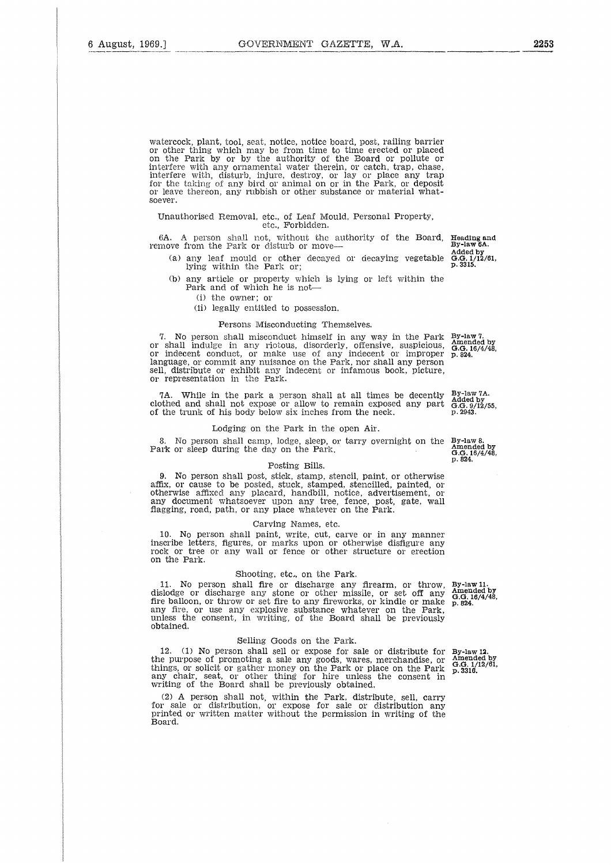watercock, plant, tool, seat, notice, notice board, post, railing barrier or other thing which may be from time to time erected or placed on the Park by or by the authority of the Board or pollute or interfere with any ornamental water therein, or catch, trap, chase, interfere with, disturb, injure, destroy, or lay or place any trap for the taking of any bird or animal on or in the Park, or deposit or leave thereon, any rubbish or other substance or material whatsoever.

## Unauthorised Removal, etc., of Leaf Mould, Personal Property, etc., Forbidden.

6A. A person shall not, without the authority of the Board, Heading and remove from the Park or disturb or move—

- (a) any leaf mould or other decayed or decaying vegetable lying within the Park or;
- (b) any article or property which is lying or left within the Park and of which he is not-

(i) the owner; or

(ii) legally entitled to possession.

#### Persons Misconducting Themselves.

7. No person shall misconduct himself in any way in the Park or shall indulge in any riotous, disorderly, offensive, suspicious, or indecent conduct, or make use of any indecent or improper language, or commit any nuisance on the Park, nor shall any person sell, distribute or exhibit any indecent or infamous book, picture, or representation in the Park.

7A. While in the park a person shall at all times be decently clothed and shall not expose or allow to remain exposed any part of the trunk of his body below six inches from the neck.

#### Lodging on the Park in the open Air.

8. No person shall camp, lodge, sleep, or tarry overnight on the By-law 8.<br>
amended by G.G. 16/4/48,<br>
G.G. 16/4/48,<br>
p. 824. Park or sleep during the day on the Park.

# Posting Bills.

9. No person shall post, stick, stamp, stencil, paint, or otherwise affix, or cause to be posted, stuck, stamped, stencilled, painted, or otherwise affixed any placard, handbill, notice, advertisement, any document whatsoever upon any tree, fence, post, gate, wall flagging, road, path, or any place whatever on the Park.

#### Carving Names, etc.

10. No person shall paint, write, cut, carve or in any manner inscribe letters, figures, or marks upon or otherwise disfigure any rock or tree or any wall or fence or other structure or erection on the Park.

# Shooting, etc, on the Park.

11. No person shall fire or discharge any firearm, or throw, dislodge or discharge any stone or other missile, or set off any<br>fire balloon, or throw or set fire to any fireworks, or kindle or make<br>any fire, or use any explosive substance whatever on the Park,<br>unless the consent, in obtained.

#### Selling Goods on the Park.

12. (1) No person shall sell or expose for sale or distribute for the purpose of promoting a sale any goods, wares, merchandise, or things, or solicit or gather money on the Park or place on the Park any chair, seat, or other thing for hire unless the consent in writing of the Board shall be previously obtained.

(2) A person shall not, within the Park, distribute, sell, carry for sale or distribution, or expose for sale or distribution any printed or written matter without the permission in writing of the Board.

By-law 11. Amended by G.G. 18/4/48, p. 824.

By-law 12. Amended by G.G. 1/12/61, p. 3316.

By-law 7. Amended by G.G. 16/4/48, p. 824.

By-law 7A. Added by G.G. 9/12/55, p. 2943.

Added by G.G. 1/12/61, p. 3315.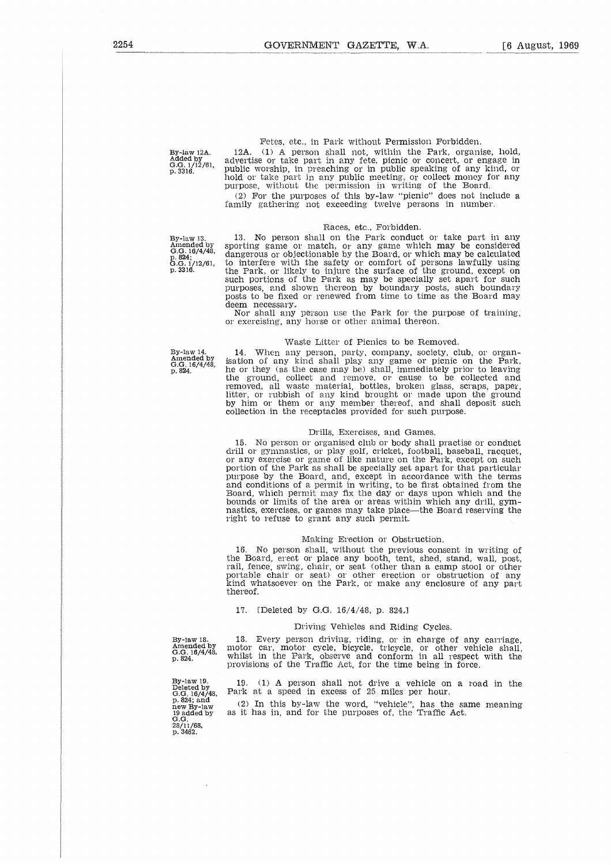By-law 12A. Added by G.G. 1/12/61, p. 3316.

Fetes, etc., in Park without Permission Forbidden.

12A. (1) A person shall not, within the Park, organise, hold, advertise or take part in any fete, picnic or concert, or engage in Public worship, in preaching or in public speaking of any kind, or hold or take part in any public meeting, or collect money for any purpose, without the permission in writing of the Board.

(2) For the purposes of this by-law "picnic" does not include a family gathering not exceeding twelve persons in number.

#### Races, etc., Forbidden.

By-law 13. Amended by G.G. 16/4/48, p. 824; G.G. 1/12/61, p. 3316.

13. No person shall on the Park conduct or take part in any sporting game or match, or any game which may be considered dangerous or objectionable by the Board, or which may be calculated to interfere with the safety or comfort of persons lawfully using the Park, or likely to injure the surface of the ground, except on such portions of the Park as may be specially set apart for such purposes, and shown thereon by boundary posts, such boundary posts to be fixed or renewed from time to time as the Board may

deem necessary, Nor shall any person use the Park for the purpose of training, or exercising, any horse or other animal thereon.

#### Waste Litter of Picnics to be Removed.

By-law 14. Amended by G.G. 16/4/48, p. 824.

14. When any person, party, company, society, club, or organ-isation of any kind shall play any game or picnic on the Park, he or they (as the case may be) shall, immediately prior to leaving the ground, collect and remove, or cause to be collected and removed, all waste material, bottles, broken glass, scraps, paper, litter, or rubbish of any kind brought or made upon the ground by him or them or any member thereof, and shall deposit such collection in the receptacles provided for such purpose.

# Drills, Exercises, and Games.

15. No person or organised club or body shall practise or conduct drill or gymnastics, or play golf, cricket, football, baseball, racquet, or any exercise or game of like nature on the Park, except on such portion of the Park as shall be specially set apart for that particular purpose by the Board, and, except in accordance with the terms and conditions of a permit in writing, to be first obtained from the Board, which permit may fix the day or days upon which and the bounds or limits of the area or areas within which any drill, gymnastics, exercises, or games may take place—the Board reserving the right to refuse to grant any such permit.

# Making Erection or Obstruction.

16. No person shall, without the previous consent in writing of the Board, erect or place any booth, tent, shed, stand, wall, post, rail, fence, swing, chair, or seat (other than a camp stool or other portable chair or seat) or other erection or obstruction of any kind whatsoever on the Park, or make any enclosure of any part thereof.

### 17. [Deleted by G.G. 16/4/48, p. 824,]

# Driving Vehicles and Riding Cycles.

By-law 18. Amended by G.G. 16/4/48, p. 824. 13. Every person driving, riding, or in charge of any carriage, motor car, motor cycle, bicycle, tricycle, or other vehicle shall, whilst in the Park, observe and conform in all respect with the provisions of the Traffic Act, for the time being in force.

By-law 19.<br>Deleted by<br>G.G. 16/4/48,<br>p. 824; and<br>new By-law<br>19 added by<br>G.G.<br>28/11/68,<br>p. 3462.

19. (1) A person shall not drive a vehicle on a road in the Park at a speed in excess of 25 miles per hour.

(2) In this by-law the word, "vehicle", has the same meaning as it has in, and for the purposes of, the Traffic Act.